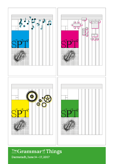

# The Grammar<sup>of</sup> Things

Darmstadt, June 14-17, 2017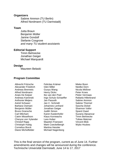#### **Organizers**

Sabine Ammon (TU Berlin) Alfred Nordmann (TU Darmstadt)

#### **Team**

Jutta Braun Benjamin Müller Janine Gondolf Stefanie Cosgrove *and many TU student-assistants*

### **Editorial Support**

Timm Behnecke Jonathan Geiger Michael Marquardt

#### **Design**

Maureen Belaski

### **Program Committee**

Albrecht Fritzsche Alexander Friedrich Andreas Brenneis Alfred Nordmann Anais De Keijser Andreas Kaminski Anthonie Meijers Astrid Schwarz Barbara Osimani Benjamin Müller Bruno Gransche Carl Mitcham Catrin Misselhorn Cheryce von Xylander Christof Rapp Christoph Hubig Cornelius Borck Diane Michelfelder

Felicitas Krämer Glen Miller Guoyu Wang Henry Dicks Ibo van den Poel Ingo Schulz-Schaeffer Jan Passoth Jan C. Schmidt Johannes Lenhard Jonathan Geiger Judith Simon Karen Kastenhofer Klaus Kornwachs Lara Huber Maarten Franssen Mark Coeckelbergh Martina Hessler Michael Nagenborg

Mieke Boon Neelke Dorn Nicola Mößner Peter Kroes Pieter Vermaas Rafaela Hillerbrand Sabine Ammon Sabine Thürmel Sascha Dickel Shannon Vallor Sjoerd Zwart Suzana Alpsancar Timm Behnecke Tobias Matzner Vincent Blok Wybo Houkes

This is the final version of the program, current as of June 14. Further amendments and changes will be announced during the conference. Technische Universität Darmstadt, June 14 to 17, 2017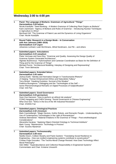# **Wednesday 2:00 to 4:00 pm**

| $\mathbf{1}$     | Panel: The Language of Biofacts: Grammars of Agricultural "Things"<br>Darmstadtium 3.09 helium<br>Nicole Karafyllis: "Seed Banking - A Modern Grammar of Collecting Plant Origins as Biofacts"<br>Karin Zachmann: "Agency of Biofacts and Rules of Grammar - Introducing Nuclear Techniques<br>in Agriculture to Africa"<br>Bernhard Gill: "The Grammar of Patent Law and the Dynamics of Living Organisms"<br>Chair: Nicole Karafyllis                                                                                     |
|------------------|-----------------------------------------------------------------------------------------------------------------------------------------------------------------------------------------------------------------------------------------------------------------------------------------------------------------------------------------------------------------------------------------------------------------------------------------------------------------------------------------------------------------------------|
| $\mathbf{2}$     | Round Table: Research in a Design Mode - In Conversation<br>with Ann Johnson (1965-2016)<br>Darmstadtium 3.07 argon<br>Johannes Lenhard, Leah McClimans, Alfred Nordmann, Joe Pitt - and others                                                                                                                                                                                                                                                                                                                             |
| $\mathbf{3}$     | <b>Submitted papers: Articulations</b><br>Darmstadtium 2.03 vanadium<br>Pieter Vermaas and Sara Eloy: "Grammar and Quality: Assessing the Design Quality of<br>Grammar-System Generated Architecture"<br>Algirdas Budrevicius: "Hylomorphism and Cartesian Coordination as Basis for the Definition of<br>Thing and for the Grammar of Things"<br>Michael Poznic: "Architectural Modeling: Interplay of Designing and Representing"<br><b>Chair: Timm Behnecke</b>                                                          |
| $\boldsymbol{4}$ | <b>Submitted papers: Extended Selves</b><br>Darmstadtium 3.05 radon<br>Joshua Earle: "Identity and Normative Danger in Transhumanist Rhetoric"<br>JI Haiqing: "Human Enhancement Ethics and Naturalistic Fallacy"<br>Terry Bristol: "Hawking Evolution: Survival of the Weaker"<br>Federica Buongiorno: "Lifelogging and the 'Technologies of the Self' -<br>Some Phenomenological Remarks on Digital Processes of Subjectification"<br>Chair: DAI Pan                                                                      |
| 5                | <b>Submitted papers: Good Governance</b><br>Darmstadtium 3.03 germanium<br>Sven Ove Hansson: "How to perform an ethical risk analysis"<br>CONG Hangqing and CHEN Ximeng: "Social Governance in Chinese Engineering"<br>Wha-Chul Son: "SDGs in the Era of the 4th Industrial Revolution"<br>Chair: ZHANG Fan                                                                                                                                                                                                                 |
| 6                | <b>Submitted papers; Ontological Practices</b><br>Darmstadtium 2.02 chromium<br>Mark Coeckelbergh: "Magic Devices, Gothic Robots, and Romantic People - Understanding the<br>Use of Contemporary Technologies in the Light of Romanticism"<br>Andreas Beinsteiner: "Material Irritations in the Grammar of Things - Post-ontotheological<br>Considerations"<br>Alexandra Karakas: "Applying Object-Oriented Ontology to Technical Artefacts"<br>Mark Young: "Maintenance: Technology in Process"<br>Chair: Suzana Alpsancar |
| $\overline{7}$   | <b>Submitted papers; Technomorality</b><br>Darmstadtium 3.08 neon<br>Neelke Doorn, Colleen Murphy and Paolo Gardoni: "Translating Social Resilience to<br>Engineering - How can resilient engineering systems contribute to social justice?"<br>Cristian Puga Gonzalez: "The Techno-Moral Change Revised: How Does Technology Affect<br>Moral Philosophy"<br>Glen Miller: "Superabundance and Collective Responsibility in Engineered Systems"<br><b>Commentator and Chair: Kristene Unsworth</b>                           |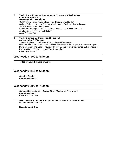- **8 Track: A New Planetary Orientation for Philosophy of Technology in the Anthropocene? (1)** *Darmstadtium 2.04 titanium* Carl Mitcham: "Engineering Ethics: From Thinking Small to Big" Jochem Zwier and Vincent Blok: "Gaia's Garbage – Technological Insistence and Existence in the Anthropocene" Steffen Stolzenberger: "Prospects of the Technoscene. Critical Remarks on Sloterdijk's Mystification of History" Chair: Jochem Zwier
- **9 Track: Engineering Knowledge (1) – general** *Darmstadtium 3.02 hassium* Thomas Zoglauer: "The Nature of Technological Knowledge" Manjari Chakrabarty: "The Critical Function of Science in the Origins of the Steam Engine" David Montminy and Gabriel Meunier: "Functional stance towards science and engineering" Kiyotaka Naoe: "Engineering and Tacit Knowledge" Chair: Sjoerd Zwart

#### **Wednesday 4:00 to 4:45 pm**

**coffee break and change of venue**

### **Wednesday 4:45 to 6:00 pm**

**Opening Session** *Maschinenhaus 122*

#### **Wednesday 6:00 to 7:00 pm**

**Composition Lecture 1 – George Stiny: "Design as Art and Use"** *Maschinenhaus 122* Chair: Sabine Ammon

**Welcome by Prof. Dr. Hans Jürgen Prömel, President of TU Darmstadt**  *Maschinenhaus 22 to 24*

**Reception until 9 pm**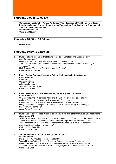#### **Thursday 9:00 to 10:00 am**

**Composition Lecture 2 – Pamela Andanda: "The Integration of Traditional Knowledge into the Intellectual Property Regime using Value-Added Justification and Grammatical Analysis of Derivative Works"** *Maschinenhaus 122* Chair: Carl Mitcham

## **Thursday 10:00 to 10:30 am**

**coffee break**

### **Thursday 10:30 to 12:30 am**

**1 Panel: Relating to Things that Relate to Us (1)** – **Ontology and Epistemology** *Maschinenhaus 22* Heather Wiltse: "On the multi-intentionality of assembled things" Yoni Van Den Eede: "The Omnipresence of Breakdown: Object-Oriented Philosophy of Technology" Holly Robbins: "Design to Situate Im/material Context" Chair: Kristene Unsworth

**2 Panel: Critical Perspectives on the Role of Mathematics in Data-Science** *Classrooms 23* Karen François Christian Hennig Johannes Lenhard Jean Paul Van Bendegem Chair: Patrick Allo

#### **3 Panel: Reflections on Andrew Feenberg's Philosophy of Technology** *Classrooms 123* Graeme Kirkpatrick: "Feenberg, Marx and the Dialectic of Technology Reform" Andrew Feenberg: "Lukács & the Philosophy of Technology" Edward Hamilton: "The Nietzschean strain in critical theory of technology"

Darryl Cressman: "Contingency & Potential: STS & Critical Theory in Feenberg's Philosophy of Technology" Chair: Darryl Cressman

#### **4 Panel: Ethics and Politics Within Cloud Computing and other Computing Environments** *Classrooms 107*

Javier Bustamante: "The Role of Social Networks and Cloud Computing in the Spread of Post-Trust Beliefs and Developments in Fundamentalist, Populist and Radical Discourses" Jose Barrientos: ""E-Wisdom and E-Experience: Is it possible to develop wisdom and life experience in computing environments?" Emiliio Suñé Llinás: title Chair: Javier Bustamante

**5 Submitted papers: Designing Things that Design Us** *Maschinenhaus 23* Philip Nickel: "Distributed consent for mHealth" Wessel Reijers: "Virtue Sensitive Design of Personalised Virtual Assistants" Bruno Gransche: "Things get to know who we are and tie us down to who we were" Vincent C. Müller and Alexandre Erler: "The digital goes 3D – and what are the risks?" Chair: Hajo Greif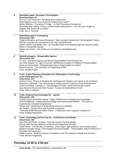#### **6 Submitted paper: Disruptive Technologies** *Maschinenhaus 24* Eric Kerr and Vivek Kant: "Breaking down malfunction: What happens when socio-technical systems don't work?" Stefan Böschen: "Grammar of Things – A Field-Theoretical Perspective" Alexandra Dias Santos: "From a rooted southern perspective – The Life and Thought of Angolan Ruy Duarte de Carvalho" Chair: Jan C. Schmidt 7 **Submitted papers: Prototyping** *Classrooms 209* Tatjana Milivojevic and Ivana Ercegovac: "Man-computer Gestalt and The Noosphere Theory: Will the Computer Be Humanized or the Man Computerized?" JIANG Xiaohui and WANG Jian: "On Possible Ways to Working through the 'uncanny valley'- Effect in Humanoids Design" Robert-Jan Geerts: "The Polder as Precedent for Geoengineering" Chair: **8 Submitted papers: Responsible Agency** *Classrooms 223* YU Xue: "The Moral Agency and Moral Responsibility of Self-driving Cars" Jan Peter Bergen: "In Light of Levinas: Rethinking Innovation in Relation to Responsibility" Rene von Schomberg: "Global perspectives on Responsible Innovation" Martin Peterson: "The Geometry of Engineering Ethics" Chair: Annette Ripper **9 Track: A New Planetary Orientation for Philosophy of Technology in the Anthropocene? (2)** *Classrooms 113* Arianne Conty: "Who is to Interpret the Anthropocene? Nature and Culture in the Academy" Alexandre Leskanich: "The Technology of History and the Grammar of the Anthropocene" Jessica Imanaka: "Laudato Si', Technologies of Power, and Environmental Justice" Jose Aravena-Reyes and Ailton Krenak: "Toward an Engineering of Care" Chair: Pieter Lemmens **10 Track: Engineering Knowledge (2) – special** *Classrooms 100* Claudia Eckert and Martin Stacey: "Object References as Engineering Knowledge" Viola Schiaffonati: "Engineering Knowledge and Experimental Method – The Case of Experimental Computer Engineering" Renee Smit: "Idealisation in Engineering Science Knowledge" Jan Kratzer, Claudia Fleck and Guenther Luxbacher: "Grammar of Mechanical Failure Cases – a Diachronic and Linguistic Comparison" Chair: Rafaela Hillerbrand **11 Track: Technology and the City (1) – Architecture and Design** *Classrooms 109* Sara Eloy and Pieter Vermaas: "Over-the-counter housing design: the city when the gap between architects and laypersons narrows" Taylor Stone: "The Morality of Darkness: Urban nights, light pollution, and evolving values"

Margoh Gonzalez Woge: "Technological Environmentality – Technologies' Absent-Presence in Everyday Environments?"

Felipe Loureiro: "Binding Surfaces: Architecture and The Interplay of Walls and Screens" Chair: Michael Nagenborg

### **Thursday 12:30 to 2:00 pm**

**lunch break –** *SPT Board Meeting in Classrooms 109*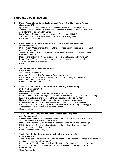### **Thursday 2:00 to 4:00 pm**

| $\overline{1}$          | Panel: Assembling a Socio-Technological Future: The Challenge of Russia<br><b>Classrooms 107</b><br>Ilya Sidorchuk: "The Wonders of Technology in Soviet Political Propaganda"<br>Anna Mazurenko and Natalia Nikiforova: "The Russian National Technology Initiative<br>as a Site for Sociotechnical Imaginaries"<br>Dmitri Popov: "Political Modernization and Its Technological Limits"<br>Yulia Obukhova: "The Role of Health in Sociotechnical Imaginaries"<br>Chair: Alfred Nordmann                                                                                                                                                                                                         |
|-------------------------|---------------------------------------------------------------------------------------------------------------------------------------------------------------------------------------------------------------------------------------------------------------------------------------------------------------------------------------------------------------------------------------------------------------------------------------------------------------------------------------------------------------------------------------------------------------------------------------------------------------------------------------------------------------------------------------------------|
| $\overline{2}$          | Panel: Relating to Things that Relate to Us (2) - Ethics and Pragmatics<br><b>Maschinenhaus 22</b><br>Michel Puech: "Attachment to things, artifacts, devices, commodities: an inconvenient<br>ethics of the ordinary"<br>Steven Dorrestijn: "Ethics of technology below and above reason: The case of living<br>With smart technologies"<br>Diane Michelfelder: "The New Assisted Living: Relating to Alexa Relating to Us"<br>Fanny Verrax: "From dealing with virtual others to the construction of the self:<br>Videogames as an ethical sandbox"<br>Chair:                                                                                                                                   |
| $\overline{\mathbf{3}}$ | <b>Submitted papers: Cryogenic Probes</b><br><b>Classrooms 223</b><br>Jol Thomson: "G24 0vßß"<br>Alexander Friedrich: "The Grammar of Cryopreservation"<br>Elena Chestnova: "Time travel in seven mile boots: temporality and distance<br>in Gottfried Semper's history writing"<br>Chair: Cheryce von Xylander                                                                                                                                                                                                                                                                                                                                                                                   |
| $\overline{\mathbf{4}}$ | Track: A New Planetary Orientation for Philosophy of Technology<br>in the Anthropocene? (3)<br><b>Classrooms 113</b><br>Bronislaw Szerszynski: "Technology as a planetary phenomenon"<br>Pieter Lemmens: "Re-Imagining the Noosphere. Reflections on Digital Network Technology,<br>Energy and Collective Intelligence in the Emerging Ecotechnological Age"<br>Hub Zwart: "From the nadir of negativity towards the cusp of reconciliation:<br>A dialectical (Hegelian-Teilhardian) assessment of the anthropocenic challenge"<br>Iñigo Galzacorta, Luis Garagalza and Hannot Rodríguez: "Rethinking Technology in the<br>Anthropocene: Relations and 'Gravitational Forces"<br>Chair: Hub Zwart |

#### **5 Track: The Philosophy of Biomimicry – theoretical and applied** *Maschinenhaus 24* Aníbal Fuentes Palacios and José Hernández Vargas: "Prose and verse – Accuracy

and creativity in the biomimetic transference." Henry Dicks: "Biomimicry: An Alternative Path for Reconciling Art and Technology" Milutin Stojanovic: "Biomimicry in Agriculture: Is the ecological system-design model the future agricultural paradigm?" Chair: Lucien von Schomberg

**6 Track: Questioning the Grammar of 'Critical' Infrastructures (1)** *Classrooms 116* Anais De Keijser: "The criticality of people as infrastructure: Creating resilience in the provision of urban services through System-D" Marcel Müller: "Reading Cities – Building Blocks for a Grammar of Technical Structures" Florian Maurer and Albrecht Fritzsche: "System Protection and the Benefit of Others – a Service Perspective" Chair: Anshika Suri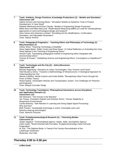#### **7 Track: Artefacts, Design Practices, Knowledge Productions (1) – Models and Simulation** *Classrooms 100*

Sabine Ammon and Henning Meyer: "Simulation Models as Epistemic Tools in Product Development: A Case Study"

Rafaela Hillerbrand and Eckert Claudia: "Models in Engineering Design Processes" Mieke Boon and Miles MacLeod: "Model-Based-Reasoning (MBR) as a skill for interdisciplinary approaches to socio-technological design and research" Hans Hasse and Johannes Lenhard: "Ennobling Ad Hoc Modifications. Confirmation,

Simulation, and Adjustable Parameters" Chair: Sabine Ammon

#### **8 Track: Pedagogical Pragmatics – Teaching Ethics and Philosophy of Technology (1)** *Maschinenhaus 23*

Ashley Shew: "Teaching Technology & Disability"

Diana Adela Martin, Eddie Conlon and Brian Bowe: "A Critical Reflection on Extending the Case Study Method in the Teaching of Engineering Ethics"

Atsushi Fujiki: "Developing pedagogical method of engineering ethics integrated with environmental ethics"

Thomas M Powers: "Globalizing Science and Engineering Ethics: Convergence or Equilibrium?" Chair:

#### **9 Track: Technologie and the City (2) – (Infra-)Structures** *Classrooms 109*

Michael Nagenborg: "Elevators as Urban Technologies: Past, Present, and Future" Vlad Niculescu-Dinca: "Towards a Sedimentology of Infrastructures: A Geological Approach for Understanding the City"

Alessia Calafiore, Nicola Guarino and Guido Boella: "Recognizing Urban Forms through the Prism of Roles Theory"

Shane Epting: "Automated Vehicles and Transportation Justice: Two Challenges for Planners and Engineers"

Chair: Margoh Gonzalez Woge

#### **10 Track: Technology Translations: Philosophical Interactions across Disciplines and Application Domains (1)**

*Classrooms 123* Ole Kliemann: "The Human in the Machine" Jan Torpus, Christiane Heibach and Andreas Simon: "Human Adaptivity to Responsive Environments" Cecilia Moloney: "Self-Attention in Learning and Doing Digital Signal Processing: Why and How" Beth Preston: "Sustainable technology in action: Intractable users and behavior-steering technologies" Chair: Albrecht Fritzsche

#### **11 Track: Postphenomenological Research (1) – Theorizing Bodies** *Classrooms 23* Jesper Aagaard: "Technohabitual Agency: Habits, Akills, and Egoless Agency" Ciano Aydin: "World Oriented Self-Formation: Postphenomenology meets Peircean Pragmatism" M. Kirk: "The Digitized Body: A Twenty-First Century Reconstitution of the Leib/Körper Distinction" Moderator: Don Ihde

### **Thursday 4:00 to 4:30 pm**

**coffee break**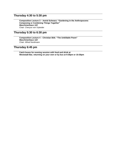### **Thursday 4:30 to 5:30 pm**

**Composition Lecture 3 – Astrid Schwarz: "Gardening in the Anthropocene: Composing or Combining Things Together"** *Maschinenhaus 122* Chair: Cheryce von Xylander

### **Thursday 5:30 to 6:30 pm**

**Composition Lecture 4 – Christian Bök: "The Unkillable Poem"** *Maschinenhaus 122* Chair: Alfred Nordmann

### **Thursday 6:45 pm**

**Catch buses for evening session with food and drink at Weststadt Bar, returning on your own or by bus at 9:30pm or 10:30pm**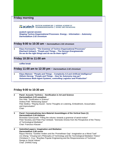#### **Friday morning**

**TE acatech** DEUTSCHE AKADEMIE DER | NATIONAL ACADEMY OF

**acatech special session Shaping Techno-Organizational Processes: Energy – Information – Autonomy** *Darmstadtium 2.02 chromium*

**Friday 9:00 to 10:30 am –** *Darmstadtium 2.02 chromium*

**1 Klaus Kornwachs: "The Grammar of Techno-Organizational Processes" Eberhard Umbach: "People and Things – The German** *Energiewende***: Do we do the right things and do we do them right?"**

### **Friday 10:30 to 11:00 am**

**coffee break** 

**Friday 11:00 am to 12:30 pm –** *Darmstadtium 2.02 chromium*

**1 Klaus Mainzer: "People and Things – Complexity 4.0 and Artificial Intelligence" Otthein Herzog: "People and Things – How far Autonomy may go? Autonomous Multi-Agent Systems, controlling Logistics and Production"**

### **Friday 9:00 to 10:30 am**

| $\mathbf{2}$ | Panel: Acoustic Technics – Sonification in Art and Science<br>Darmstadtium 2.03 vanadium<br>Don Ihde: "Sonification in Science"<br>Andrea Polli: "Witnessing Space"<br>Pete Stollery: "Playing Sound - Some Thoughts on Listening, Embodiment, Acousmatics<br>and Improvisation"<br>Chair: |
|--------------|--------------------------------------------------------------------------------------------------------------------------------------------------------------------------------------------------------------------------------------------------------------------------------------------|
| 3            | Panel: Conceptualising Aero-Material Assemblages of the Vertical Gaze (1)<br>Darmstadtium 2.04 titanium<br>Bronislaw Szerszynski: "Filling the volume: towards a grammar of aerial motion"<br>Peter Novitzky and Peter-Paul Verbeek: "Domestic Drones from the Perspective of the Theory   |

of Technological Mediation" Chair: Francisco Klauser **4 Submitted papers: Imagination and Mediation** *Darmstadtium 3.06 xenon*

Rayco Herrera: "Günther Anders and the 'Promethean Gap': Imagination as a Moral Task" LIU Zheng: "Chuang-tze's Philosophy of Technology and the Technological Mediation Theory" Christiano C. Cruz: "Brazilian Popular Engineering and the Responsiveness of Technical Design to Social Values" Chair: ZHANG Kang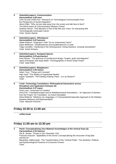| 5              | <b>Submitted papers: Communication</b><br>Darmstadtium 3.08 neon<br>CHN Jia and CHEN Fan: "Research on Technological Communication from<br>the Perspective of Social Integration"<br>Alexis Elder: "Why not just step away from the screen and talk face to face?<br>The Moral Import of Communication Medium Choice"<br>Andreas Henze: "This Machine is Part of Me like your Voice: On Interacting with<br><b>Technologically Generated Voices"</b><br>Chair: Nicola Liberati |
|----------------|--------------------------------------------------------------------------------------------------------------------------------------------------------------------------------------------------------------------------------------------------------------------------------------------------------------------------------------------------------------------------------------------------------------------------------------------------------------------------------|
| 6              | <b>Submitted papers: Affordances</b><br>Darmstadtium 3.02 hassium<br>Wade Robison: "Engineers' Oath: Do no unnecessary harm!"<br>Dylan Wittkower: "Disaffordances and Dysaffordances in Code"<br>Tiago Carvalho: "Gardening in the Anthropocene: Going Nowhere, Growing Somewhere"<br>Chair: Astrid Schwarz                                                                                                                                                                    |
| $\overline{7}$ | <b>Submitted papers: Designed Spaces</b><br>Darmstadtium 3.03 germanium<br>Irene Breuer: "The grammar of architectural design: Graphs, grids and diagrams"<br>Jaana Parviainen and Seija Ridell: "Choreographies of Smart Urban Power"<br>Chair: Seija Ridell                                                                                                                                                                                                                  |
| 8              | <b>Submitted papers: Metaphysics</b><br>Darmstadtium 3.09 helium<br>Adam Toon: "Things and Concepts"<br>Hajo Greif: "The Reality of Augmented Reality"<br>Ingvar Tjostheim: "The Feeling of Being There - Is it an Illusion?"<br>Chair:                                                                                                                                                                                                                                        |
| 9              | Track: Technology Translations: Philosophical Interactions across<br><b>Disciplines and Application Domains (2)</b><br>Darmstadtium 3.07 argon<br>Scott Luan: "Grammars of Creation"<br>Anna Dot: "Translationscapes and its Multidimensional Articulations - An Approach to Borders<br>from the Project 'On Translation', by Antoni Muntadas"                                                                                                                                 |

Silvia Mollicchi: "Mediums as Languages: A Transcendental Naturalist Approach to the Relation between Mediums and Representation" Chair: Albrecht Fritzsche

# **Friday 10:30 to 11:00 am**

**coffee break**

# **Friday 11:00 am to 12:30 pm**

| $\mathbf{2}$ | Panel: Conceptualising Aero-Material Assemblages of the Vertical Gaze (2)                                                                                      |
|--------------|----------------------------------------------------------------------------------------------------------------------------------------------------------------|
|              | Darmstadtium 2.04 titanium                                                                                                                                     |
|              | Ole B. Jensen: "Drones in the Volumetric City"                                                                                                                 |
|              | Francisco Klauser: "Spatialities of the Drone: Conceptualising the encounter of big data<br>and the air"                                                       |
|              | Maximilian Jablonowski: "The Transformation of the 'Vertical Public': The Aesthetic, Political,<br>and Epistemological Practices of Consumer Drones"<br>Chair: |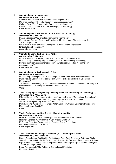| $\overline{\mathbf{3}}$ | <b>Submitted papers: Instruments</b><br>Darmstadtium 3.02 hassium<br>Stanley Kranc: "What Could Instrumental Perception Be?"<br>Maxence Gaillard: "The individuation of a scientific instrument"<br>Michael Funk: "The Grammar of Information - Methodological<br>Constructivism/Culturalism and the Philosophy of Technology"<br>Chair: Mieke Boon                                                                                                                   |
|-------------------------|-----------------------------------------------------------------------------------------------------------------------------------------------------------------------------------------------------------------------------------------------------------------------------------------------------------------------------------------------------------------------------------------------------------------------------------------------------------------------|
| $\overline{\mathbf{4}}$ | Submitted papers: Foundations for the Ethics of Technology<br>Darmstadtium 3.08 neon<br>Peeter Müürsepp: "Aim-oriented Approach to Technology"<br>Manja Unger-Büttner: "Design as Experimental Ethics - Moral Skepticism and the<br>Value of Exploration."<br>Philip Brey: "Structural Ethics: Ontological Foundations and Implications<br>for the Ethics of Technology"<br>Chair: Abubakr Khan                                                                       |
| 5                       | <b>Submitted papers: Technological Politics</b><br>Darmstadtium 3.05 radon<br>Björn Sjöstrand: "Technology, Ethics, and Politics in a Globalized World"<br>HUNG Ching: "Technologizing Democracy toward Democratizing Technology"<br>Lumeng Jia: "From assessment to design - What is really needed in Technology<br>Accompaniment?"<br>Chair: Peter Müürsepp                                                                                                         |
| 6                       | <b>Submitted papers: Technology in Science</b><br>Darmstadtium 3.09 helium<br>Mark Young: "Making or Using?: The Geiger Counter and Early Cosmic Ray Research"<br>Pablo Aceves Cano: "Technological Normativity - Its Epistemic Role in Science and<br>Mathematics"<br>ZHOU Liyun: "Rethinking the boundary between science and technology from the Body - A<br>Review of Donna Haraway's Subject of Technoscience"<br>Chair:                                         |
| $\overline{7}$          | Track: Pedagogical Pragmatics; Teaching Ethics and Philosophy of Technology (2)<br>Darmstadtium 2.03 vanadium<br>Edward Hamilton: "Ontologies of , Openness' and the Politics of Educational Technology"<br>Cristiano C. Cruz: "How to Form Engineers Capable of Social Technology<br>and Popular Engineering: Some Brazilian Initiatives"<br>Daniel Jenkins: "Moral Philosophy and Automation: How Should Engineers Decide How<br>Machines Should Decide?"<br>Chair: |
| 8                       | Track: Technology and the City (3) - Exploring the City<br>Darmstadtium 3.06 xenon<br>Diane Michelfelder: "Urban Landscapes and the Techno-Animal Condition"<br>Remmon Barbaza: "Metro Manila: A City Without Syntax?"<br>El Putnam: "Locative Reverb: Artistic Practice, Digital Technology,<br>and the Grammatization of the City"<br>Chair: Taylor Stone                                                                                                           |
| 9                       | Track: Postphenomenological Research (2) - Technologized Space<br>Darmstadtium 3.03 germanium<br>Robert Rosenberger: "Multistable Public Space: From Park Benches to Bathroom Stalls"<br>Søren Riis: "What Is It Like To Be A House? Towards An Ontology of the Internet of Things"<br>Olya Kudina: "Deconstructing a Panopticon Tower of the Digital Age: A Phenomenological<br>Account of Google Glass"<br>Delities of Technological Mediction                      |

Peter-Paul Verbeek: "The Politics of Technological Mediation" Moderator: Don Ihde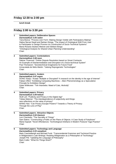# **Friday 12:30 to 2:00 pm**

**lunch break** 

# **Friday 2:00 to 3:30 pm**

| 1                       | <b>Submitted papers: Deliberative Spaces</b><br>Darmstadtium 3.05 radon<br>Yana Boeva: "Process over Form: Making Design Visible with Participatory Making"<br>Hatice Server Kesdi and Serkan Güneş: "The Impact of Ontological Shift From User<br>to Participator in Design Process on Construction of Socio-Technical Systems"<br>Maria Rosaria Stufano Melone and Stefano Borgo:<br>"Ontological Analysis for Shared Urban Planning Understanding"<br>Chair: |
|-------------------------|-----------------------------------------------------------------------------------------------------------------------------------------------------------------------------------------------------------------------------------------------------------------------------------------------------------------------------------------------------------------------------------------------------------------------------------------------------------------|
| $\mathbf{2}$            | <b>Submitted papers: Contestations</b><br>Darmstadtium 3.08 neon<br>Sabine Thuermel: "Online Dispute Resolution based on Smart Contracts:<br>An Example of Disintermediation and Disruption of a Socio-technical System"<br>Paul Thompson: "Sociotechnical Imaginaries for Future Food"<br>Inmaculada de Melo-Martin: "Valuing Reprogenetic Technologies"<br>Chair:                                                                                             |
| 3                       | <b>Submitted papers: Avatars</b><br>Darmstadtium 3.07 argon<br>DONG Xiaoju: "Avatar: Multiple or Disrupted? A research on the identity in the age of Internet"<br>Fabian Offert: "Exhibiting Computing Machines - Alien Phenomenology as a Speculative<br>Principle for Exhibition Design"<br>Dylan Wittkower: "Teh Intarwebs: Maed of Cats, Akshully"<br>Chair:                                                                                                |
| $\overline{\mathbf{4}}$ | <b>Submitted papers: Privacy</b><br>Darmstadtium 3.09 helium<br>Wulf Loh: "Publicity and Privacy in the Digital Age"<br>Tobias Matzner: "The interdependence of subjectivity and things:<br>new reflections on the value of privacy"<br>WANG Hao: "Can Privacy Escape Powers? Towards a Theory of Privacy<br>Through the Lens of Play"<br>Chair:                                                                                                                |
| $\overline{\mathbf{5}}$ | <b>Submitted papers: Attractive Objects</b><br>Darmstadtium 2.04 titanium<br>Levi Checketts: "The Sacrality of Things"<br>Sam Edens: "Constructing a Public on the Plane of Objects: A Case Study of Fairphone"<br>Maria Kapsali: "Novel Affordances: Technological Artefacts in Modern Postural Yoga Practice"<br>Chair:                                                                                                                                       |
| 6                       | <b>Submitted papers: Technology and Language</b><br>Darmstadtium 2.03 vanadium<br>Mark Coeckelbergh and Michael Funk: "Transcendental Grammar and Technical Practice<br>in Wittgenstein's Late Writings: Reading Wittgenstein as a Philosopher of Technology"<br>Joseph Pitt: "Updating the Language of Philosophy"<br>Mark Cutler: "What Do Things Want?"<br>Chair:                                                                                            |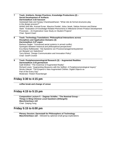| $\overline{7}$ | Track: Artefacts, Design Practices, Knowledge Productions (2) -<br><b>Social Development of Artifacts</b><br>Darmstadtium 3.02 hassium<br>Geetanjali Date and Sanjay Chandrasekharan: "What role do formal structures play<br>in the design process?"<br>WANG Wei Min, Konrad Exner, Maurice Preidel, Julius Jenek, Sabine Ammon and Rainer<br>Stark: "Evaluation of Knowledge-Related Phenomena in Milestone-Driven Product Development<br>Processes - An Explorative Case Study on Student Projects"<br>Chair: Sjoerd Zwart |
|----------------|-------------------------------------------------------------------------------------------------------------------------------------------------------------------------------------------------------------------------------------------------------------------------------------------------------------------------------------------------------------------------------------------------------------------------------------------------------------------------------------------------------------------------------|
| 8              | Track: Technology Translations: Philosophical Interactions across<br><b>Disciplines and Application Domains (3)</b><br>Darmstadtium 3.07 argon<br>Barbara Ziegler: "Unmanned aerial systems in armed conflict:<br>Synergies between historical and philosophical perspectives"<br>Eva-Maria Raffetseder: "Die Episteme von Prozessmanagementsystemen<br>am Beispiel von Salesforce"<br>Terry Bristol: "Design Communication and Innovation Policy"<br><b>Chair: Geoff Crocker</b>                                             |
| 9              | Track: Postphenomenologcial Research (3) - Augmented Realities<br>Darmstadtium 3.03 germanium<br>Galit Wellner: "The Grammar of Augmented Reality"<br>Richard Lewis: "Augmenting Museums with the Self(ie): A Postphenomenological Inquiry"<br>Nicola Liberati: "The Emperor's New Augmented Clothes: Digital Objects as                                                                                                                                                                                                      |

### **Friday 3:30 to 4:15 pm**

Part of the Every Day"

**coffee break and change of venue**

Moderator: Robert Rosenberger

### **Friday 4:15 to 5:15 pm**

**Composition Lecture 5 – Dagmar Schäfer: "The Nominal Group – Things in Ming-Chinese Local Gazeteers (Difangzhi)**  *Maschinenhaus 122* Chair: Zaiqing Fang

### **Friday 5:15 to 6:00 pm**

**Plenary Session: Darmstadt for Philosophers of Technology** *Maschinenhaus 122* – followed by optional small-group explorations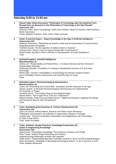### **Saturday 9:00 to 11:00 am**

**1 Round Table: Book Discussion "Philosophy of Technology after the Empirical Turn: Perspectives on Research in the Philosophy of Technology in the Next Decade"** *Classroom 109*

Shannon Vallor, Mark Coeckelbergh, Peter-Paul Verbeek, Albrecht Fritzsche, Astrid Schwarz, Martin Gessmann

Chairs: Maarten Franssen, Peter Kroes, Pieter Vermaas

#### **2 Panel: AI and the Expert – Expert Knowledge in the Age of Artificial Intelligence** *Classrooms 223*

Hidekazu Kanemitsu: "Rethinking the Dreyfus model and an Examination of Current Issues Regarding Expert Knowledge"

Toshihiro Suzuki: "On the expertise of skilled workers in factories" Tetsuya Kono: "What is work for human beings after AI dominance?" Minao Kukita: "Buridan's Asimo: Difficulty in mechanisation of moral competence" Chair:

#### **3 Submitted papers: Articifial Intelligence**  *Maschinenhaus 22*

Janina Loh: "Responsibility and Robot Ethics – A Critical Overview and the Concept of Responsibility Networks"

Nobutsugu Kanzaki: "Possibility of co-design in development process of AI and robot technology"

Reina Saijo: "Human's Vulnerability to AI technology for Decision Support System and a Possibility of Some Autonomous and Authentic Way of Living" Chair:

#### **4 Submitted papers: Phenomenological Hermeneutics** *Maschinenhaus 24*

Lucien von Schomberg and Vincent Blok: "Innovation and the Character of our Age" Ashwin Jayanti: "A Revised Phenomenological Hermeneutics for Understanding the Grammar of Things" Jonathan Simon: "The medical drug as technological object" Dennis Weiss: "How Ought We to Treat Our Televisions?" Alberto Romele, Paolo Furia and Marta Severo: "Digital Hermeneutics: Mapping the Debate and Paving the Way for New Perspectives" Chair:

#### **5 Track: Questioning the Grammar of 'Critical' Infrastructures (2)** *Classrooms 116*

José Luís Garcia, Helena Mateus Jerónimo and Pedro Xavier Mendonça: "Philosophy and disasters: the outbreak of Legionnaires' disease in Portugal" Anshika Suri: "Women's Everyday Contestations and Negotiations with Technology in Cities of East Africa" Chair: Anais De Keijser

6 **Track: Artefacts, Design Practices, Knowledge Productions (3) – Action in Engineering Knowledge** *Classrooms 100* Sjoerd Zwart: "Prescriptive Knowledge: The Grammar of Actions and Things" Hans Tromp: "Artifact Design Reasoning and Intuition, explored through philosophy of action and cognition" Judith Simon: "Apprehending Big Data: Extended, Android or Socio-Technical Epistemology?" Klaus Kornwachs: "Modalities in describing technological actions: To do, to prevent, to omit" Chair: Rafaela Hillerbrand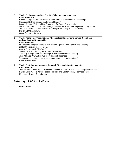| $\overline{7}$ | Track: Technology and the City (4) - What makes a smart city<br>Classrooms 109                                                                                                                                                                                                           |
|----------------|------------------------------------------------------------------------------------------------------------------------------------------------------------------------------------------------------------------------------------------------------------------------------------------|
|                | Giovanni Frigo: "Green Buildings' in the City? A Reflection about Technology,<br>Sustainability Indexes, and the Ethics of Energy"                                                                                                                                                       |
|                | Brandt Dainow: "Philosophical Framework for Smart City Analysis"<br>WANG Qian and YU Xue: "Technology and the City: From the Perspective of Organicism"<br>Jathan Sadowski: "Parameters of Possibility: Envisioning and Constructing<br>the Smart Urban Future"<br>Chair: Remmon Barbaza |
| 8              | Track: Technology Translations: Philosophical Interactions across Disciplines<br>and Application Domains (4)<br><b>Classrooms 123</b><br>Nils-Frederic Wagner: "Doing away with the Agential Bias: Agency and Patiency<br>in Health Monitoring Applications"                             |
|                | Ashley Shew: "Walk This Way"                                                                                                                                                                                                                                                             |
|                | Samantha Fried: "Picking a Peck of Pickled Pixels:<br>Thinking Through the Pixel Paradigm in Terrestrial Remote Sensing"<br>Juan Almarza Anwandter: "On the 'Pathos of closeness':                                                                                                       |
|                | Technology and experience in contemporary architectural practices"<br>Chair: Ashley Shew                                                                                                                                                                                                 |
| 9              | Track: Postphenomenological Research (4) - Mediation/the Mediated<br><b>Classrooms 23</b>                                                                                                                                                                                                |

Jonne Hoek: "Technological Mediation of Limits and the Limits of Technological Mediation" Bas de Boer: "Vico's Verum-Factum Principle and Contemporary Technoscience" Moderator: Robert Rosenberger

# **Saturday 11:00 to 11:45 am**

**coffee break**